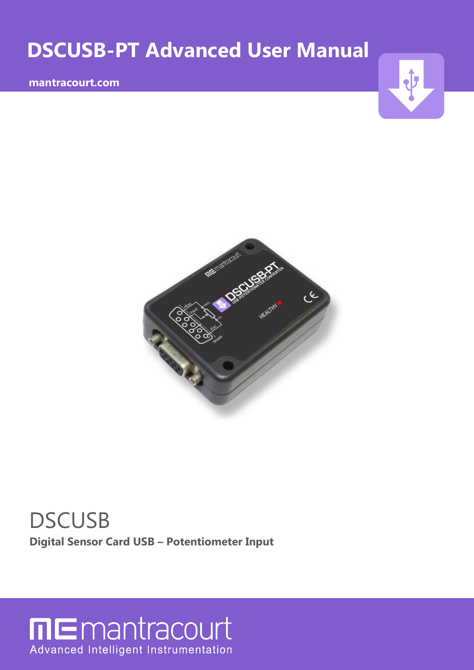# **DSCUSB-PT Advanced User Manual**

## **mantracourt.com**





# **DSCUSB Digital Sensor Card USB – Potentiometer Input**

# **ME**mantracourt Advanced Intelligent Instrumentation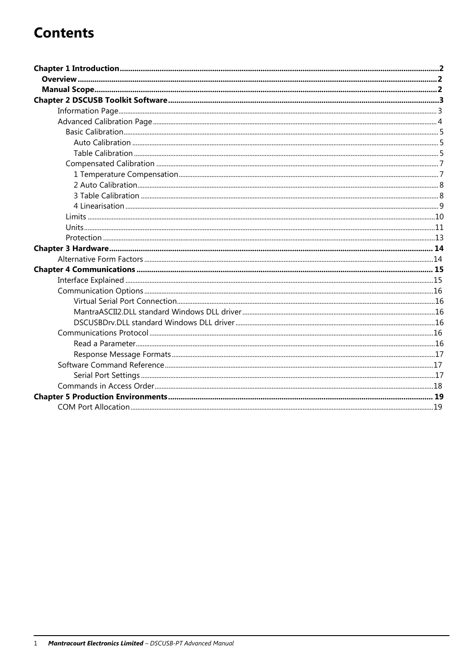## **Contents**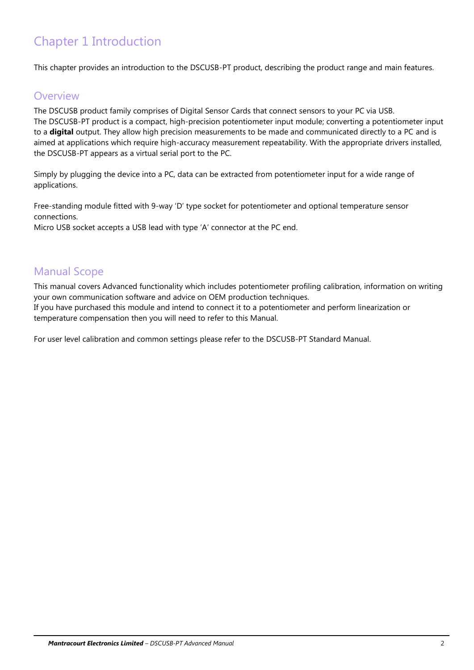## Chapter 1 Introduction

This chapter provides an introduction to the DSCUSB-PT product, describing the product range and main features.

## **Overview**

The DSCUSB product family comprises of Digital Sensor Cards that connect sensors to your PC via USB. The DSCUSB-PT product is a compact, high-precision potentiometer input module; converting a potentiometer input to a **digital** output. They allow high precision measurements to be made and communicated directly to a PC and is aimed at applications which require high-accuracy measurement repeatability. With the appropriate drivers installed, the DSCUSB-PT appears as a virtual serial port to the PC.

Simply by plugging the device into a PC, data can be extracted from potentiometer input for a wide range of applications.

Free-standing module fitted with 9-way 'D' type socket for potentiometer and optional temperature sensor connections.

Micro USB socket accepts a USB lead with type 'A' connector at the PC end.

## Manual Scope

This manual covers Advanced functionality which includes potentiometer profiling calibration, information on writing your own communication software and advice on OEM production techniques.

If you have purchased this module and intend to connect it to a potentiometer and perform linearization or temperature compensation then you will need to refer to this Manual.

For user level calibration and common settings please refer to the DSCUSB-PT Standard Manual.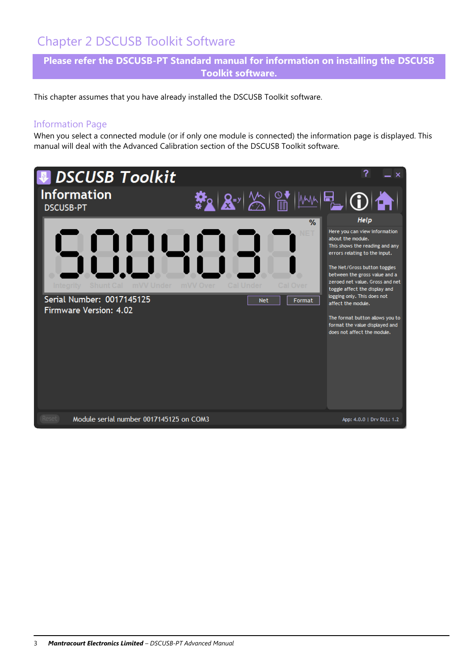## Chapter 2 DSCUSB Toolkit Software

**Please refer the DSCUSB-PT Standard manual for information on installing the DSCUSB Toolkit software.**

This chapter assumes that you have already installed the DSCUSB Toolkit software.

## Information Page

When you select a connected module (or if only one module is connected) the information page is displayed. This manual will deal with the Advanced Calibration section of the DSCUSB Toolkit software.

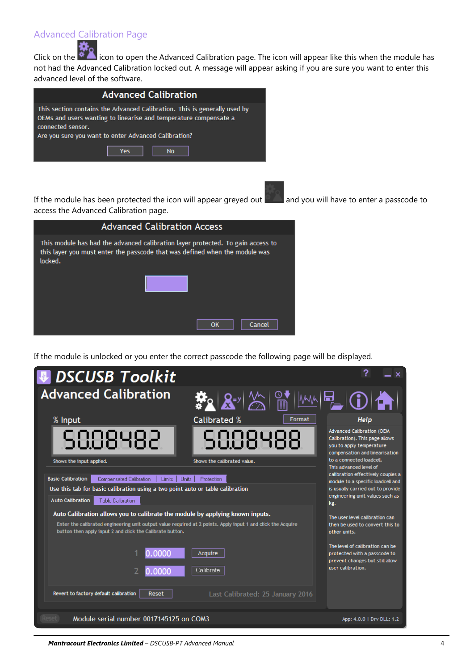## Advanced Calibration Page

Click on the **inclusion** icon to open the Advanced Calibration page. The icon will appear like this when the module has not had the Advanced Calibration locked out. A message will appear asking if you are sure you want to enter this advanced level of the software.

| <b>Advanced Calibration</b>                                                                                                                                                                                                |  |  |  |
|----------------------------------------------------------------------------------------------------------------------------------------------------------------------------------------------------------------------------|--|--|--|
| This section contains the Advanced Calibration. This is generally used by<br>OEMs and users wanting to linearise and temperature compensate a<br>connected sensor.<br>Are you sure you want to enter Advanced Calibration? |  |  |  |
| Yes<br><b>No</b>                                                                                                                                                                                                           |  |  |  |

If the module has been protected the icon will appear greyed out and you will have to enter a passcode to access the Advanced Calibration page.

| <b>Advanced Calibration Access</b>                                                                                                                                        |  |  |  |  |
|---------------------------------------------------------------------------------------------------------------------------------------------------------------------------|--|--|--|--|
| This module has had the advanced calibration layer protected. To gain access to<br>this layer you must enter the passcode that was defined when the module was<br>locked. |  |  |  |  |
|                                                                                                                                                                           |  |  |  |  |
|                                                                                                                                                                           |  |  |  |  |
| ок<br>Cancel                                                                                                                                                              |  |  |  |  |

If the module is unlocked or you enter the correct passcode the following page will be displayed.

| <b><i>DSCUSB Toolkit</i></b>                                                                                                                                                                                                                               |                                                                                                                          |                                                                                                                                                       |
|------------------------------------------------------------------------------------------------------------------------------------------------------------------------------------------------------------------------------------------------------------|--------------------------------------------------------------------------------------------------------------------------|-------------------------------------------------------------------------------------------------------------------------------------------------------|
| <b>Advanced Calibration</b>                                                                                                                                                                                                                                | $\mathbf{R}^{\text{S}}\left[\mathbf{R}^{\text{S}}\right]\mathbf{\left[\begin{matrix} 0\\ \mathbf{0}\end{matrix}\right]}$ | E(O A )                                                                                                                                               |
| % Input                                                                                                                                                                                                                                                    | <b>Calibrated %</b><br>Format                                                                                            | Help                                                                                                                                                  |
| 5888482                                                                                                                                                                                                                                                    | 5888488                                                                                                                  | <b>Advanced Calibration (OEM</b><br>Calibration). This page allows<br>you to apply temperature<br>compensation and linearisation                      |
| Shows the input applied.                                                                                                                                                                                                                                   | Shows the calibrated value.                                                                                              | to a connected loadcell.<br>This advanced level of                                                                                                    |
| <b>Basic Calibration</b><br>Compensated Calibration<br>Limits  <br>Use this tab for basic calibration using a two point auto or table calibration<br><b>Auto Calibration</b><br><b>Table Calibration</b>                                                   | Units 1<br><b>Protection</b>                                                                                             | calibration effectively couples a<br>module to a specific loadcell and<br>is usually carried out to provide<br>engineering unit values such as<br>kg. |
| Auto Calibration allows you to calibrate the module by applying known inputs.<br>Enter the calibrated engineering unit output value required at 2 points. Apply input 1 and click the Acquire<br>button then apply input 2 and click the Calibrate button. |                                                                                                                          | The user level calibration can<br>then be used to convert this to<br>other units.                                                                     |
| 0.0000<br>0.0000                                                                                                                                                                                                                                           | Acquire<br>Calibrate                                                                                                     | The level of calibration can be<br>protected with a passcode to<br>prevent changes but still allow<br>user calibration.                               |
| Revert to factory default calibration<br>Reset                                                                                                                                                                                                             | Last Calibrated: 25 January 2016                                                                                         |                                                                                                                                                       |
| Module serial number 0017145125 on COM3<br>Reset <sub>1</sub>                                                                                                                                                                                              |                                                                                                                          | App: 4.0.0   Drv DLL: 1.2                                                                                                                             |

*Mantracourt Electronics Limited – DSCUSB-PT Advanced Manual* 4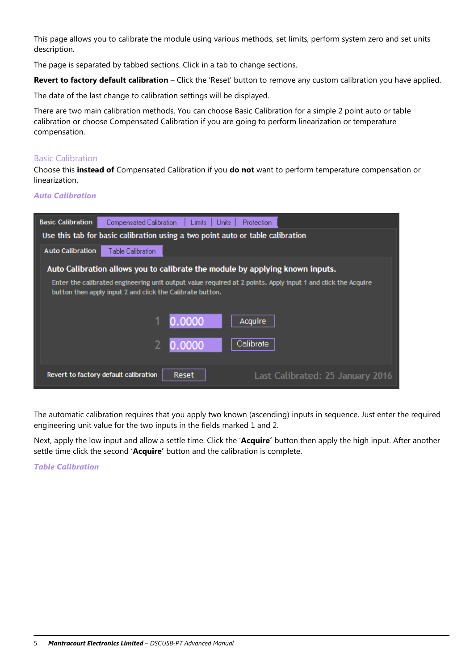This page allows you to calibrate the module using various methods, set limits, perform system zero and set units description.

The page is separated by tabbed sections. Click in a tab to change sections.

**Revert to factory default calibration** – Click the 'Reset' button to remove any custom calibration you have applied.

The date of the last change to calibration settings will be displayed.

There are two main calibration methods. You can choose Basic Calibration for a simple 2 point auto or table calibration or choose Compensated Calibration if you are going to perform linearization or temperature compensation.

#### Basic Calibration

Choose this **instead of** Compensated Calibration if you **do not** want to perform temperature compensation or linearization.

#### *Auto Calibration*



The automatic calibration requires that you apply two known (ascending) inputs in sequence. Just enter the required engineering unit value for the two inputs in the fields marked 1 and 2.

Next, apply the low input and allow a settle time. Click the '**Acquire'** button then apply the high input. After another settle time click the second '**Acquire'** button and the calibration is complete.

#### *Table Calibration*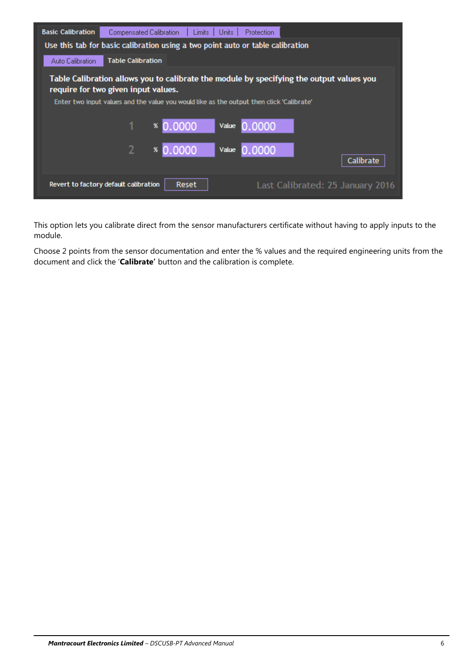| <b>Basic Calibration</b>                                                                                                                                                                                                    | Compensated Calibration  | Limits:                                                                        | Units 1<br>Protection |                                  |
|-----------------------------------------------------------------------------------------------------------------------------------------------------------------------------------------------------------------------------|--------------------------|--------------------------------------------------------------------------------|-----------------------|----------------------------------|
|                                                                                                                                                                                                                             |                          | Use this tab for basic calibration using a two point auto or table calibration |                       |                                  |
| Auto Calibration                                                                                                                                                                                                            | <b>Table Calibration</b> |                                                                                |                       |                                  |
| Table Calibration allows you to calibrate the module by specifying the output values you<br>require for two given input values.<br>Enter two input values and the value you would like as the output then click 'Calibrate' |                          |                                                                                |                       |                                  |
|                                                                                                                                                                                                                             |                          | 0.0000<br>x                                                                    | 0.0000<br>Value       |                                  |
|                                                                                                                                                                                                                             | 2                        | 0.0000<br>x                                                                    | 0.0000<br>Value       | Calibrate                        |
| Revert to factory default calibration                                                                                                                                                                                       |                          | <b>Reset</b>                                                                   |                       | Last Calibrated: 25 January 2016 |

This option lets you calibrate direct from the sensor manufacturers certificate without having to apply inputs to the module.

Choose 2 points from the sensor documentation and enter the % values and the required engineering units from the document and click the '**Calibrate'** button and the calibration is complete.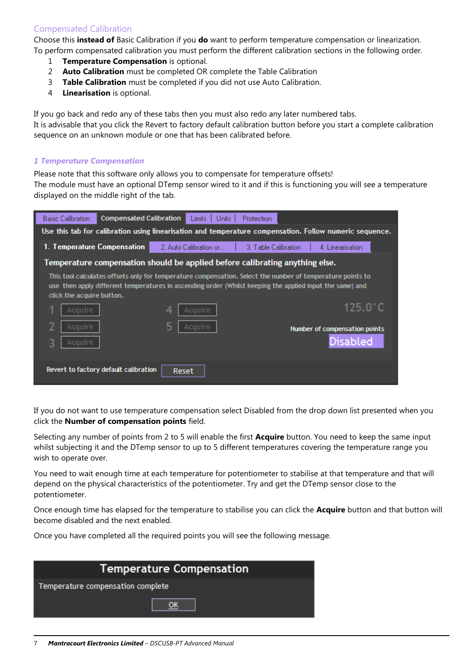## Compensated Calibration

Choose this **instead of** Basic Calibration if you **do** want to perform temperature compensation or linearization. To perform compensated calibration you must perform the different calibration sections in the following order.

- 1 **Temperature Compensation** is optional.
- 2 **Auto Calibration** must be completed OR complete the Table Calibration
- 3 **Table Calibration** must be completed if you did not use Auto Calibration.
- 4 **Linearisation** is optional.

If you go back and redo any of these tabs then you must also redo any later numbered tabs. It is advisable that you click the Revert to factory default calibration button before you start a complete calibration sequence on an unknown module or one that has been calibrated before.

#### *1 Temperature Compensation*

Please note that this software only allows you to compensate for temperature offsets!

The module must have an optional DTemp sensor wired to it and if this is functioning you will see a temperature displayed on the middle right of the tab.



If you do not want to use temperature compensation select Disabled from the drop down list presented when you click the **Number of compensation points** field.

Selecting any number of points from 2 to 5 will enable the first **Acquire** button. You need to keep the same input whilst subjecting it and the DTemp sensor to up to 5 different temperatures covering the temperature range you wish to operate over.

You need to wait enough time at each temperature for potentiometer to stabilise at that temperature and that will depend on the physical characteristics of the potentiometer. Try and get the DTemp sensor close to the potentiometer.

Once enough time has elapsed for the temperature to stabilise you can click the **Acquire** button and that button will become disabled and the next enabled.

Once you have completed all the required points you will see the following message.

| <b>Temperature Compensation</b>   |  |  |  |  |
|-----------------------------------|--|--|--|--|
| Temperature compensation complete |  |  |  |  |
|                                   |  |  |  |  |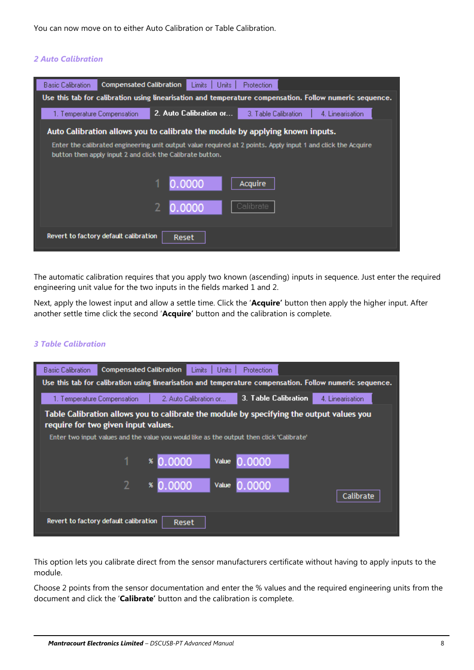You can now move on to either Auto Calibration or Table Calibration.

### *2 Auto Calibration*



The automatic calibration requires that you apply two known (ascending) inputs in sequence. Just enter the required engineering unit value for the two inputs in the fields marked 1 and 2.

Next, apply the lowest input and allow a settle time. Click the '**Acquire'** button then apply the higher input. After another settle time click the second '**Acquire'** button and the calibration is complete.

#### *3 Table Calibration*

| <b>Basic Calibration</b><br><b>Compensated Calibration</b><br>Protection<br>Limits<br>Units 1                                   |  |  |  |  |
|---------------------------------------------------------------------------------------------------------------------------------|--|--|--|--|
| Use this tab for calibration using linearisation and temperature compensation. Follow numeric sequence.                         |  |  |  |  |
| <b>3. Table Calibration</b><br>4. Linearisation<br>2. Auto Calibration or<br>1. Temperature Compensation.                       |  |  |  |  |
| Table Calibration allows you to calibrate the module by specifying the output values you<br>require for two given input values. |  |  |  |  |
| Enter two input values and the value you would like as the output then click 'Calibrate'                                        |  |  |  |  |
| 0.0000<br>0.0000<br>x<br>Value                                                                                                  |  |  |  |  |
| \$0.0000<br>0.0000<br>Value<br>Calibrate                                                                                        |  |  |  |  |
| Revert to factory default calibration<br>Reset                                                                                  |  |  |  |  |

This option lets you calibrate direct from the sensor manufacturers certificate without having to apply inputs to the module.

Choose 2 points from the sensor documentation and enter the % values and the required engineering units from the document and click the '**Calibrate'** button and the calibration is complete.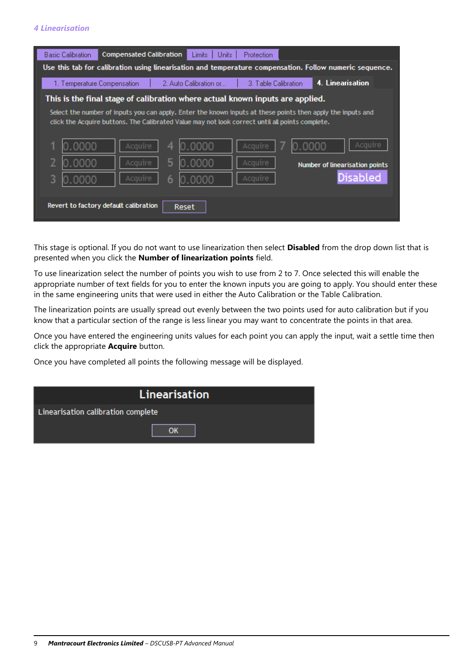### *4 Linearisation*

This stage is optional. If you do not want to use linearization then select **Disabled** from the drop down list that is presented when you click the **Number of linearization points** field.

To use linearization select the number of points you wish to use from 2 to 7. Once selected this will enable the appropriate number of text fields for you to enter the known inputs you are going to apply. You should enter these in the same engineering units that were used in either the Auto Calibration or the Table Calibration.

The linearization points are usually spread out evenly between the two points used for auto calibration but if you know that a particular section of the range is less linear you may want to concentrate the points in that area.

Once you have entered the engineering units values for each point you can apply the input, wait a settle time then click the appropriate **Acquire** button.

Once you have completed all points the following message will be displayed.

| <b>Linearisation</b>               |  |  |  |
|------------------------------------|--|--|--|
| Linearisation calibration complete |  |  |  |
|                                    |  |  |  |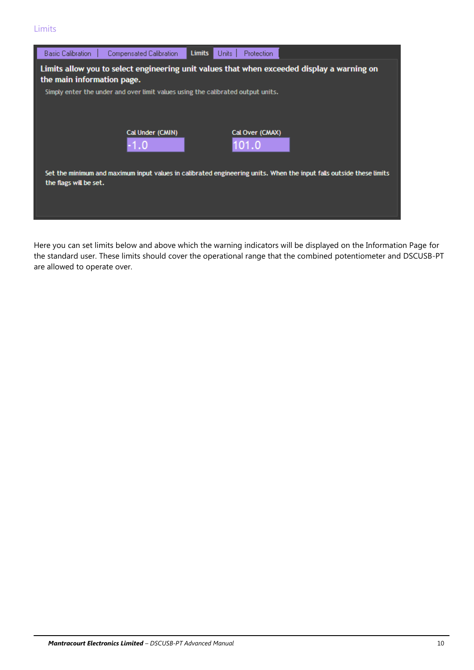

Here you can set limits below and above which the warning indicators will be displayed on the Information Page for the standard user. These limits should cover the operational range that the combined potentiometer and DSCUSB-PT are allowed to operate over.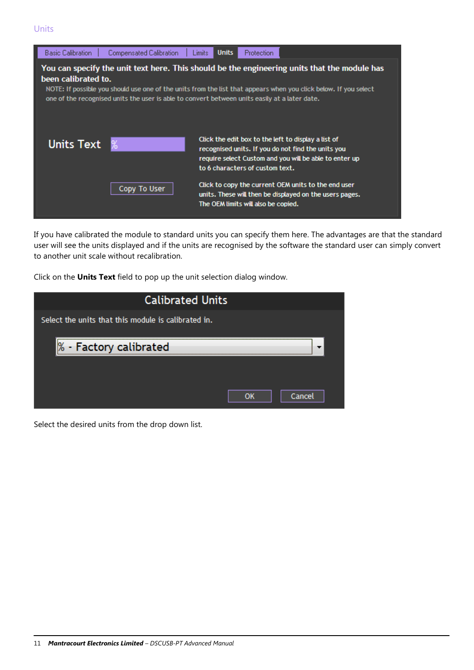

If you have calibrated the module to standard units you can specify them here. The advantages are that the standard user will see the units displayed and if the units are recognised by the software the standard user can simply convert to another unit scale without recalibration.

Click on the **Units Text** field to pop up the unit selection dialog window.

| <b>Calibrated Units</b>                             |              |
|-----------------------------------------------------|--------------|
| Select the units that this module is calibrated in. |              |
| % - Factory calibrated                              |              |
|                                                     |              |
|                                                     | Cancel<br>OK |

Select the desired units from the drop down list.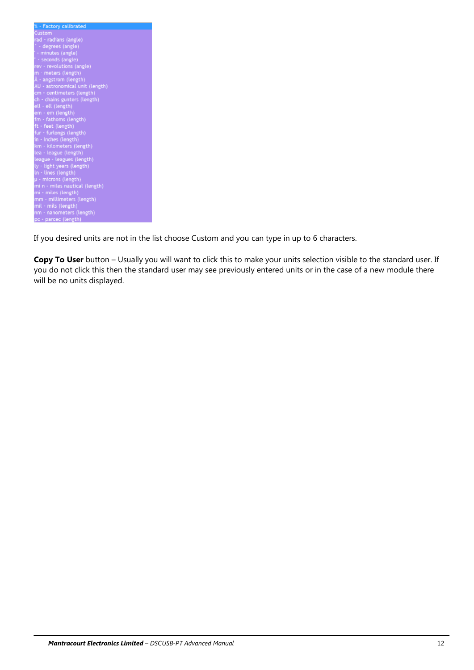| % - Factory calibrated          |
|---------------------------------|
| Custom                          |
| rad - radians (angle)           |
| * - degrees (angle)             |
| ' - minutes (angle)             |
| " · seconds (angle)             |
| rev - revolutions (angle)       |
| m - meters (length)             |
| Å - angstrom (length)           |
| AU - astronomical unit (length) |
| cm · centimeters (length)       |
| ch - chains gunters (length)    |
| ell - ell (length)              |
| em - em (length)                |
| fm - fathoms (length)           |
| ft · feet (length)              |
| fur - furlongs (length)         |
| in - inches (length)            |
| km - kilometers (length)        |
| lea - league (length)           |
| league - leagues (length)       |
| ly - light years (length)       |
| In - lines (length)             |
| µ - microns (length)            |
| mi n - miles nautical (length)  |
| mi · miles (length)             |
| mm - millimeters (length)       |
| mil - mils (length)             |
| nm - nanometers (length)        |
| pc - parcec (length)            |

If you desired units are not in the list choose Custom and you can type in up to 6 characters.

**Copy To User** button – Usually you will want to click this to make your units selection visible to the standard user. If you do not click this then the standard user may see previously entered units or in the case of a new module there will be no units displayed.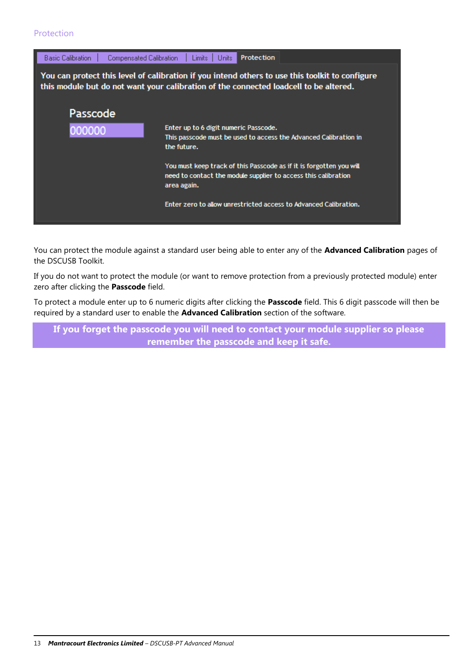### Protection



You can protect the module against a standard user being able to enter any of the **Advanced Calibration** pages of the DSCUSB Toolkit.

If you do not want to protect the module (or want to remove protection from a previously protected module) enter zero after clicking the **Passcode** field.

To protect a module enter up to 6 numeric digits after clicking the **Passcode** field. This 6 digit passcode will then be required by a standard user to enable the **Advanced Calibration** section of the software.

**If you forget the passcode you will need to contact your module supplier so please remember the passcode and keep it safe.**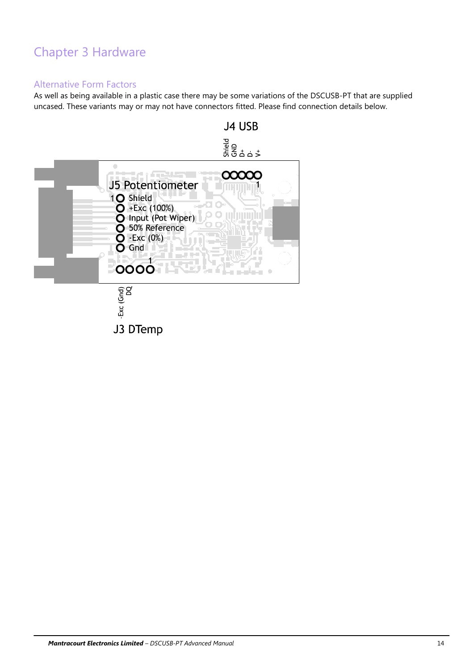## Chapter 3 Hardware

## Alternative Form Factors

As well as being available in a plastic case there may be some variations of the DSCUSB-PT that are supplied uncased. These variants may or may not have connectors fitted. Please find connection details below.

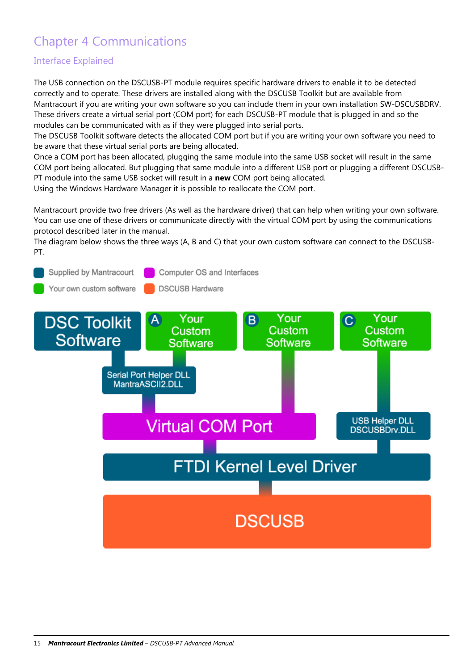## Chapter 4 Communications

## Interface Explained

The USB connection on the DSCUSB-PT module requires specific hardware drivers to enable it to be detected correctly and to operate. These drivers are installed along with the DSCUSB Toolkit but are available from Mantracourt if you are writing your own software so you can include them in your own installation SW-DSCUSBDRV. These drivers create a virtual serial port (COM port) for each DSCUSB-PT module that is plugged in and so the modules can be communicated with as if they were plugged into serial ports.

The DSCUSB Toolkit software detects the allocated COM port but if you are writing your own software you need to be aware that these virtual serial ports are being allocated.

Once a COM port has been allocated, plugging the same module into the same USB socket will result in the same COM port being allocated. But plugging that same module into a different USB port or plugging a different DSCUSB-PT module into the same USB socket will result in a **new** COM port being allocated.

Using the Windows Hardware Manager it is possible to reallocate the COM port.

Mantracourt provide two free drivers (As well as the hardware driver) that can help when writing your own software. You can use one of these drivers or communicate directly with the virtual COM port by using the communications protocol described later in the manual.

The diagram below shows the three ways (A, B and C) that your own custom software can connect to the DSCUSB-PT.

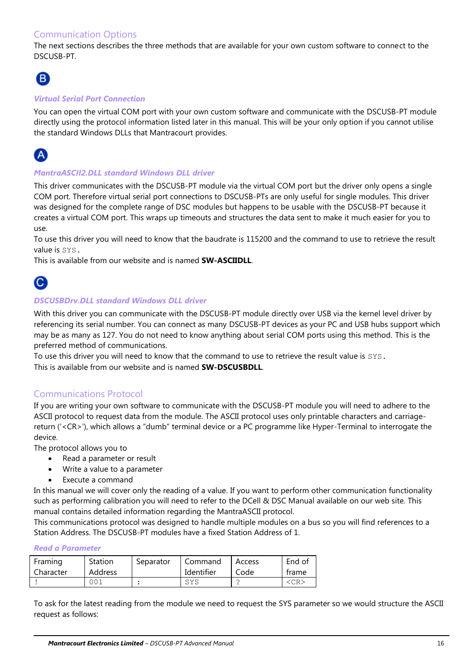## Communication Options

The next sections describes the three methods that are available for your own custom software to connect to the DSCUSB-PT.

## (B

### *Virtual Serial Port Connection*

You can open the virtual COM port with your own custom software and communicate with the DSCUSB-PT module directly using the protocol information listed later in this manual. This will be your only option if you cannot utilise the standard Windows DLLs that Mantracourt provides.

## A

#### *MantraASCII2.DLL standard Windows DLL driver*

This driver communicates with the DSCUSB-PT module via the virtual COM port but the driver only opens a single COM port. Therefore virtual serial port connections to DSCUSB-PTs are only useful for single modules. This driver was designed for the complete range of DSC modules but happens to be usable with the DSCUSB-PT because it creates a virtual COM port. This wraps up timeouts and structures the data sent to make it much easier for you to use.

To use this driver you will need to know that the baudrate is 115200 and the command to use to retrieve the result value is SYS.

This is available from our website and is named **SW-ASCIIDLL**.



#### *DSCUSBDrv.DLL standard Windows DLL driver*

With this driver you can communicate with the DSCUSB-PT module directly over USB via the kernel level driver by referencing its serial number. You can connect as many DSCUSB-PT devices as your PC and USB hubs support which may be as many as 127. You do not need to know anything about serial COM ports using this method. This is the preferred method of communications.

To use this driver you will need to know that the command to use to retrieve the result value is SYS. This is available from our website and is named **SW-DSCUSBDLL**.

### Communications Protocol

If you are writing your own software to communicate with the DSCUSB-PT module you will need to adhere to the ASCII protocol to request data from the module. The ASCII protocol uses only printable characters and carriagereturn ('<CR>'), which allows a "dumb" terminal device or a PC programme like Hyper-Terminal to interrogate the device.

The protocol allows you to

- Read a parameter or result
- Write a value to a parameter
- Execute a command

In this manual we will cover only the reading of a value. If you want to perform other communication functionality such as performing calibration you will need to refer to the DCell & DSC Manual available on our web site. This manual contains detailed information regarding the MantraASCII protocol.

This communications protocol was designed to handle multiple modules on a bus so you will find references to a Station Address. The DSCUSB-PT modules have a fixed Station Address of 1.

#### *Read a Parameter*

| Framing   | Station        | Separator | Command    | Access | End of    |
|-----------|----------------|-----------|------------|--------|-----------|
| Character | <b>Address</b> |           | Identifier | Code   | frame     |
|           | 001            |           | SYS        |        | <cr></cr> |

To ask for the latest reading from the module we need to request the SYS parameter so we would structure the ASCII request as follows: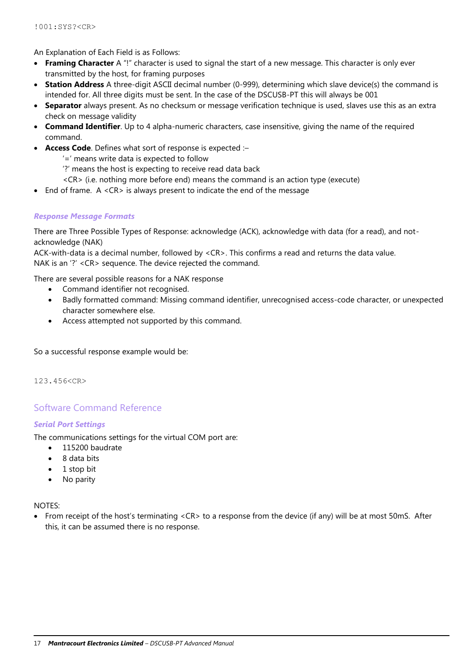An Explanation of Each Field is as Follows:

- **Framing Character** A "!" character is used to signal the start of a new message. This character is only ever transmitted by the host, for framing purposes
- **Station Address** A three-digit ASCII decimal number (0-999), determining which slave device(s) the command is intended for. All three digits must be sent. In the case of the DSCUSB-PT this will always be 001
- **Separator** always present. As no checksum or message verification technique is used, slaves use this as an extra check on message validity
- **Command Identifier**. Up to 4 alpha-numeric characters, case insensitive, giving the name of the required command.
- **Access Code**. Defines what sort of response is expected :–
	- '=' means write data is expected to follow
	- '?' means the host is expecting to receive read data back
	- <CR> (i.e. nothing more before end) means the command is an action type (execute)
- End of frame. A <CR> is always present to indicate the end of the message

### *Response Message Formats*

There are Three Possible Types of Response: acknowledge (ACK), acknowledge with data (for a read), and notacknowledge (NAK)

ACK-with-data is a decimal number, followed by <CR>. This confirms a read and returns the data value. NAK is an '?' <CR> sequence. The device rejected the command.

- There are several possible reasons for a NAK response
	- Command identifier not recognised.
	- Badly formatted command: Missing command identifier, unrecognised access-code character, or unexpected character somewhere else.
	- Access attempted not supported by this command.

So a successful response example would be:

123.456<CR>

### Software Command Reference

#### *Serial Port Settings*

The communications settings for the virtual COM port are:

- 115200 baudrate
- 8 data bits
- $\bullet$  1 stop bit
- No parity

#### NOTES:

 From receipt of the host's terminating <CR> to a response from the device (if any) will be at most 50mS. After this, it can be assumed there is no response.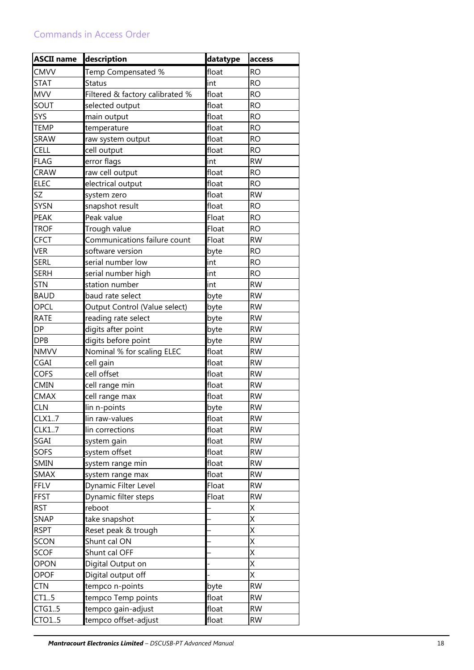| <b>ASCII name</b> | description                     | datatype | access     |
|-------------------|---------------------------------|----------|------------|
| <b>CMVV</b>       | Temp Compensated %              | float    | <b>RO</b>  |
| <b>STAT</b>       | Status                          | int      | <b>RO</b>  |
| <b>MVV</b>        | Filtered & factory calibrated % | float    | <b>RO</b>  |
| SOUT              | selected output                 | float    | <b>RO</b>  |
| SYS               | main output                     | float    | <b>RO</b>  |
| <b>TEMP</b>       | temperature                     | float    | <b>RO</b>  |
| SRAW              | raw system output               | float    | <b>RO</b>  |
| CELL              | cell output                     | float    | <b>RO</b>  |
| <b>FLAG</b>       | error flags                     | int      | <b>RW</b>  |
| <b>CRAW</b>       | raw cell output                 | float    | <b>RO</b>  |
| <b>ELEC</b>       | electrical output               | float    | <b>RO</b>  |
| SZ                | system zero                     | float    | <b>RW</b>  |
| <b>SYSN</b>       | snapshot result                 | float    | <b>RO</b>  |
| <b>PEAK</b>       | Peak value                      | Float    | <b>RO</b>  |
| <b>TROF</b>       | Trough value                    | Float    | <b>RO</b>  |
| <b>CFCT</b>       | Communications failure count    | Float    | <b>RW</b>  |
| <b>VER</b>        | software version                | byte     | <b>RO</b>  |
| <b>SERL</b>       | serial number low               | int      | <b>RO</b>  |
| <b>SERH</b>       | serial number high              | int      | <b>RO</b>  |
| <b>STN</b>        | station number                  | int      | <b>RW</b>  |
| <b>BAUD</b>       | baud rate select                | byte     | <b>RW</b>  |
| OPCL              | Output Control (Value select)   | byte     | <b>RW</b>  |
| <b>RATE</b>       | reading rate select             | byte     | <b>RW</b>  |
| <b>DP</b>         | digits after point              | byte     | <b>RW</b>  |
| <b>DPB</b>        | digits before point             | byte     | <b>RW</b>  |
| <b>NMVV</b>       | Nominal % for scaling ELEC      | float    | <b>RW</b>  |
| CGAI              | cell gain                       | float    | <b>RW</b>  |
| COFS              | cell offset                     | float    | <b>RW</b>  |
| <b>CMIN</b>       | cell range min                  | float    | <b>RW</b>  |
| <b>CMAX</b>       | cell range max                  | float    | <b>RW</b>  |
| <b>CLN</b>        | lin n-points                    | byte     | ${\sf RW}$ |
| CLX17             | lin raw-values                  | float    | <b>RW</b>  |
| CLK17             | lin corrections                 | float    | <b>RW</b>  |
| SGAI              | system gain                     | float    | <b>RW</b>  |
| <b>SOFS</b>       | system offset                   | float    | <b>RW</b>  |
| SMIN              | system range min                | float    | <b>RW</b>  |
| <b>SMAX</b>       | system range max                | float    | <b>RW</b>  |
| <b>FFLV</b>       | Dynamic Filter Level            | Float    | <b>RW</b>  |
| <b>FFST</b>       | Dynamic filter steps            | Float    | <b>RW</b>  |
| <b>RST</b>        | reboot                          |          | Χ          |
| <b>SNAP</b>       | take snapshot                   |          | X          |
| <b>RSPT</b>       | Reset peak & trough             |          | X          |
| SCON              | Shunt cal ON                    |          | X          |
| <b>SCOF</b>       | Shunt cal OFF                   |          | X          |
| <b>OPON</b>       | Digital Output on               |          | X          |
| <b>OPOF</b>       | Digital output off              |          | Χ          |
| <b>CTN</b>        | tempco n-points                 | byte     | <b>RW</b>  |
| CT1.5             | tempco Temp points              | float    | <b>RW</b>  |
| CTG15             | tempco gain-adjust              | float    | <b>RW</b>  |
| CTO15             | tempco offset-adjust            | float    | <b>RW</b>  |